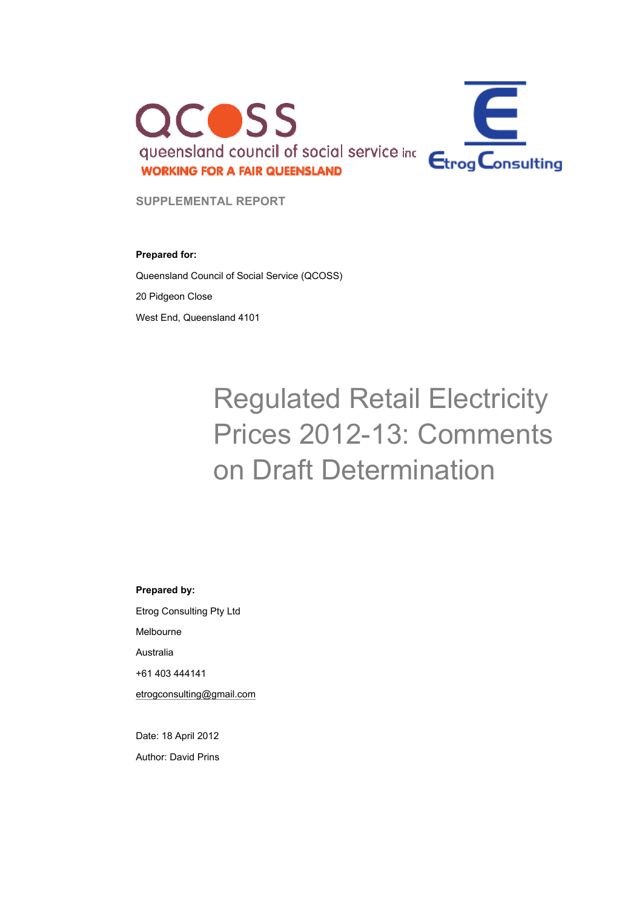

**SUPPLEMENTAL REPORT** 

#### **Prepared for:**

Queensland Council of Social Service (QCOSS)

20 Pidgeon Close

West End, Queensland 4101

# Regulated Retail Electricity Prices 2012-13: Comments on Draft Determination

#### **Prepared by:**

Etrog Consulting Pty Ltd Melbourne Australia +61 403 444141 etrogconsulting@gmail.com

Date: 18 April 2012 Author: David Prins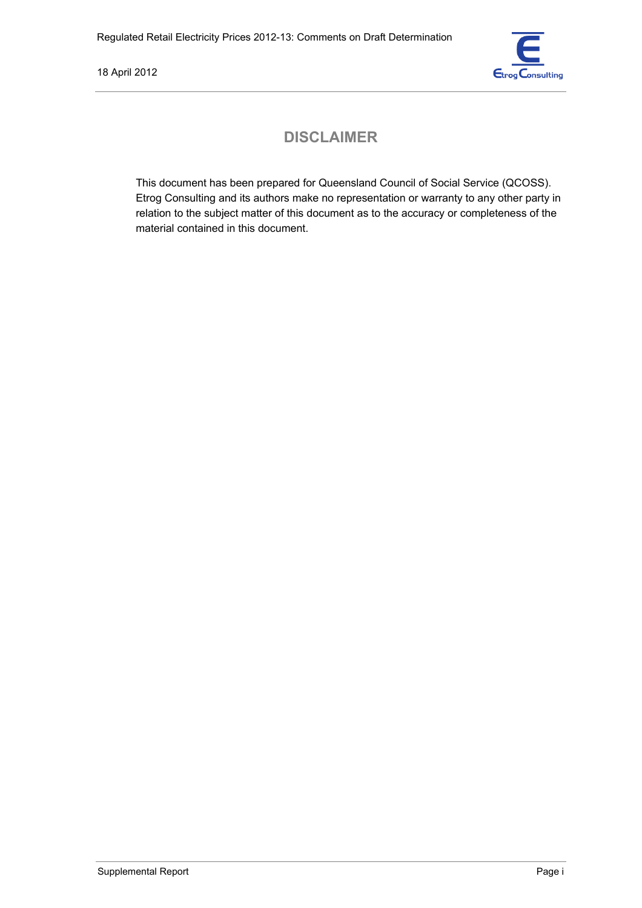

## **DISCLAIMER**

This document has been prepared for Queensland Council of Social Service (QCOSS). Etrog Consulting and its authors make no representation or warranty to any other party in relation to the subject matter of this document as to the accuracy or completeness of the material contained in this document.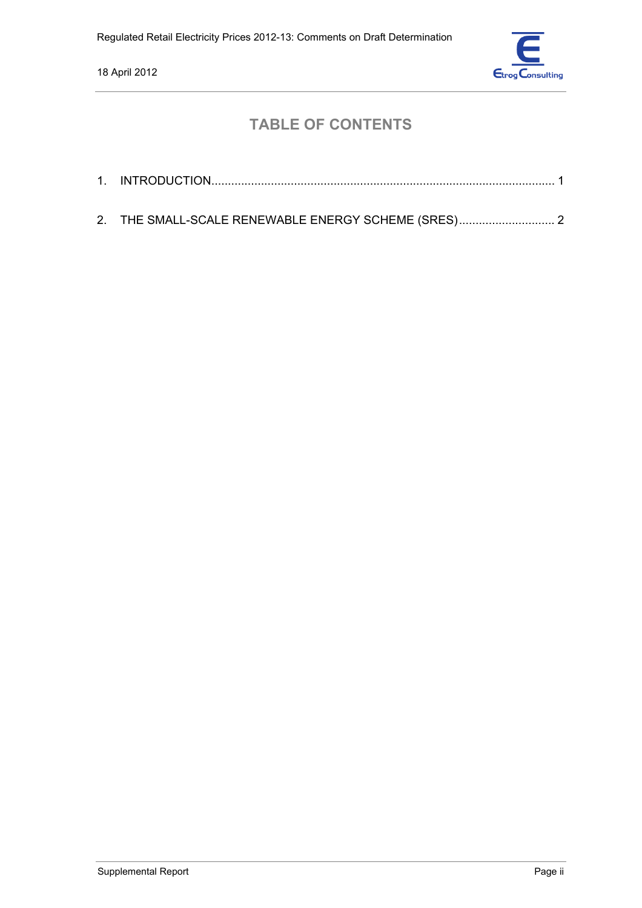

## **TABLE OF CONTENTS**

| 2. THE SMALL-SCALE RENEWABLE ENERGY SCHEME (SRES) 2 |
|-----------------------------------------------------|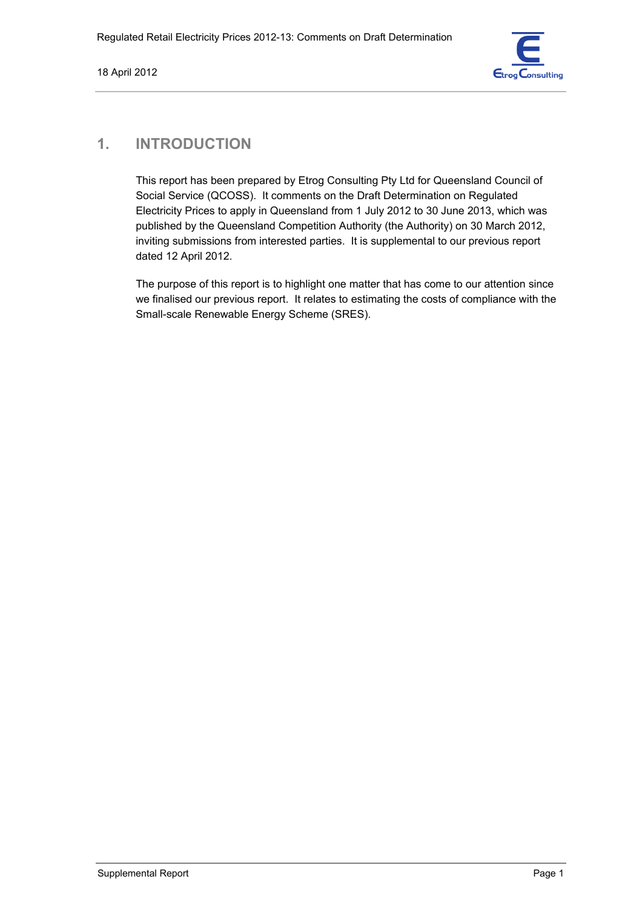

#### **1. INTRODUCTION**

This report has been prepared by Etrog Consulting Pty Ltd for Queensland Council of Social Service (QCOSS). It comments on the Draft Determination on Regulated Electricity Prices to apply in Queensland from 1 July 2012 to 30 June 2013, which was published by the Queensland Competition Authority (the Authority) on 30 March 2012, inviting submissions from interested parties. It is supplemental to our previous report dated 12 April 2012.

The purpose of this report is to highlight one matter that has come to our attention since we finalised our previous report. It relates to estimating the costs of compliance with the Small-scale Renewable Energy Scheme (SRES).